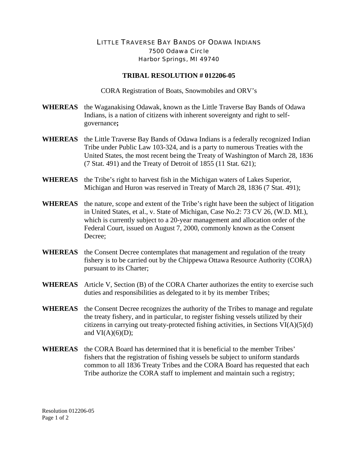## LITTLE TRAVERSE BAY BANDS OF ODAWA INDIANS 7500 Odawa Circle Harbor Springs, MI 49740

## **TRIBAL RESOLUTION # 012206-05**

CORA Registration of Boats, Snowmobiles and ORV's

- **WHEREAS** the Waganakising Odawak, known as the Little Traverse Bay Bands of Odawa Indians, is a nation of citizens with inherent sovereignty and right to selfgovernance**;**
- **WHEREAS** the Little Traverse Bay Bands of Odawa Indians is a federally recognized Indian Tribe under Public Law 103-324, and is a party to numerous Treaties with the United States, the most recent being the Treaty of Washington of March 28, 1836 (7 Stat. 491) and the Treaty of Detroit of 1855 (11 Stat. 621);
- **WHEREAS** the Tribe's right to harvest fish in the Michigan waters of Lakes Superior, Michigan and Huron was reserved in Treaty of March 28, 1836 (7 Stat. 491);
- **WHEREAS** the nature, scope and extent of the Tribe's right have been the subject of litigation in United States, et al., v. State of Michigan, Case No.2: 73 CV 26, (W.D. MI.), which is currently subject to a 20-year management and allocation order of the Federal Court, issued on August 7, 2000, commonly known as the Consent Decree;
- **WHEREAS** the Consent Decree contemplates that management and regulation of the treaty fishery is to be carried out by the Chippewa Ottawa Resource Authority (CORA) pursuant to its Charter;
- **WHEREAS** Article V, Section (B) of the CORA Charter authorizes the entity to exercise such duties and responsibilities as delegated to it by its member Tribes;
- **WHEREAS** the Consent Decree recognizes the authority of the Tribes to manage and regulate the treaty fishery, and in particular, to register fishing vessels utilized by their citizens in carrying out treaty-protected fishing activities, in Sections VI(A)(5)(d) and  $VI(A)(6)(D)$ ;
- **WHEREAS** the CORA Board has determined that it is beneficial to the member Tribes' fishers that the registration of fishing vessels be subject to uniform standards common to all 1836 Treaty Tribes and the CORA Board has requested that each Tribe authorize the CORA staff to implement and maintain such a registry;

Resolution 012206-05 Page 1 of 2